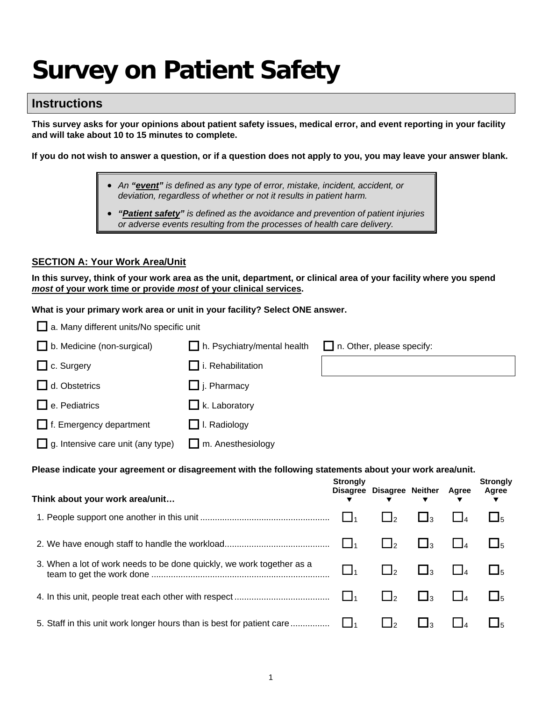# **Survey on Patient Safety**

# **Instructions**

**This survey asks for your opinions about patient safety issues, medical error, and event reporting in your facility and will take about 10 to 15 minutes to complete.** 

**If you do not wish to answer a question, or if a question does not apply to you, you may leave your answer blank.**

- *An "event" is defined as any type of error, mistake, incident, accident, or deviation, regardless of whether or not it results in patient harm.*
- *"Patient safety" is defined as the avoidance and prevention of patient injuries or adverse events resulting from the processes of health care delivery.*

#### **SECTION A: Your Work Area/Unit**

**In this survey, think of your work area as the unit, department, or clinical area of your facility where you spend**  *most* **of your work time or provide** *most* **of your clinical services.** 

**What is your primary work area or unit in your facility? Select ONE answer.** 

| a. Many different units/No specific unit                                                                |                             |                 |                           |                     |          |                               |
|---------------------------------------------------------------------------------------------------------|-----------------------------|-----------------|---------------------------|---------------------|----------|-------------------------------|
| b. Medicine (non-surgical)                                                                              | h. Psychiatry/mental health |                 | n. Other, please specify: |                     |          |                               |
| $\Box$ c. Surgery                                                                                       | $\Box$ i. Rehabilitation    |                 |                           |                     |          |                               |
| d. Obstetrics                                                                                           | $\Box$ j. Pharmacy          |                 |                           |                     |          |                               |
| e. Pediatrics                                                                                           | $\Box$ k. Laboratory        |                 |                           |                     |          |                               |
| $\Box$ f. Emergency department                                                                          | $\Box$ I. Radiology         |                 |                           |                     |          |                               |
| g. Intensive care unit (any type)                                                                       | $\Box$ m. Anesthesiology    |                 |                           |                     |          |                               |
| Please indicate your agreement or disagreement with the following statements about your work area/unit. |                             |                 |                           |                     |          |                               |
|                                                                                                         |                             |                 |                           |                     |          |                               |
| Think about your work area/unit                                                                         |                             | <b>Strongly</b> | Disagree Disagree Neither |                     | Agree    | <b>Strongly</b><br>Agree<br>▼ |
|                                                                                                         |                             | l l1            | $\Box$ <sub>2</sub>       | $\bigsqcup$ 3       | $\Box$ 4 | $\square_5$                   |
|                                                                                                         |                             | $\Box$          | $\Box_2$                  | $\Box$ <sub>3</sub> | $\prod$  | $\square_5$                   |
| 3. When a lot of work needs to be done quickly, we work together as a                                   |                             | $\bigsqcup_1$   | $\Box_2$                  | $\Box_3$            | $\Box$   | $\square_5$                   |
|                                                                                                         |                             | $\Box_1$        | $\Box$ <sub>2</sub>       | $\Box$ <sub>3</sub> | $\Box$   | $\square_5$                   |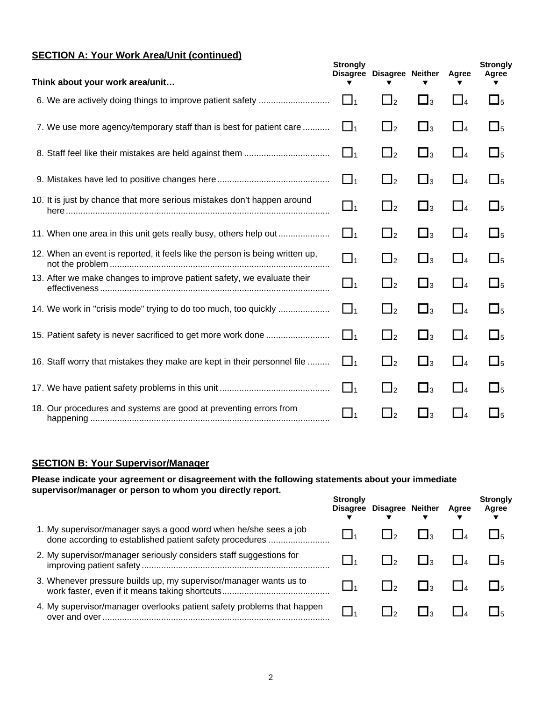# **SECTION A: Your Work Area/Unit (continued)**

| Think about your work area/unit                                              | <b>Strongly</b> | Disagree Disagree Neither |                     | Agree    | <b>Strongly</b><br>Agree |
|------------------------------------------------------------------------------|-----------------|---------------------------|---------------------|----------|--------------------------|
|                                                                              | $\Box$          | $\Box$ <sub>2</sub>       | $\Box_3$            | $\Box$ 4 | $\Box_5$                 |
| 7. We use more agency/temporary staff than is best for patient care          | $\Box_1$        | $\Box$ <sub>2</sub>       | $\Box_3$            | $\Box_4$ | $\Box_5$                 |
|                                                                              | $\Box$ 1        | $\Box$ <sub>2</sub>       | $\Box_3$            | $\Box_4$ | $\Box_5$                 |
|                                                                              | $\Box$ 1        | $\Box$ <sub>2</sub>       | $\Box$ <sub>3</sub> | $\Box$ 4 | $\Box_5$                 |
| 10. It is just by chance that more serious mistakes don't happen around      | $\Box_1$        | $\Box$ <sub>2</sub>       | $\Box_3$            | $\Box_4$ | $\Box_5$                 |
|                                                                              | $\Box_1$        | $\Box$ <sub>2</sub>       | $\Box_3$            | $\Box_4$ | $\square$ <sub>5</sub>   |
| 12. When an event is reported, it feels like the person is being written up, | $\Box_1$        | $\Box$ <sub>2</sub>       | $\square_3$         | $\Box$ 4 | $\Box_5$                 |
| 13. After we make changes to improve patient safety, we evaluate their       | $\Box_1$        | $\Box$ <sub>2</sub>       | $\Box_3$            | $\Box_4$ | $\Box_5$                 |
|                                                                              | $\Box$ 1        | $\Box$ <sub>2</sub>       | $\Box$ <sub>3</sub> | $\Box$ 4 | $\square$ <sub>5</sub>   |
| 15. Patient safety is never sacrificed to get more work done                 | $\Box_1$        | $\Box$ <sub>2</sub>       | $\square_3$         | $\Box_4$ | $\square$ <sub>5</sub>   |
| 16. Staff worry that mistakes they make are kept in their personnel file     | $\Box$ 1        | $\Box$ <sub>2</sub>       | $\Box_3$            | $\Box$ 4 | $\square$ <sub>5</sub>   |
|                                                                              | $\Box_1$        | $\Box$ <sub>2</sub>       | $\Box_3$            | $\Box_4$ | $\Box_5$                 |
| 18. Our procedures and systems are good at preventing errors from            | $\Box_1$        | $\Box_2$                  | $\square_3$         | $\Box$ 4 | $\Box_5$                 |

## **SECTION B: Your Supervisor/Manager**

**Please indicate your agreement or disagreement with the following statements about your immediate supervisor/manager or person to whom you directly report.** 

|                                                                                                                             | <b>Strongly</b> | Disagree Disagree Neither | Agree | <b>Strongly</b><br>Agree |
|-----------------------------------------------------------------------------------------------------------------------------|-----------------|---------------------------|-------|--------------------------|
| 1. My supervisor/manager says a good word when he/she sees a job<br>done according to established patient safety procedures |                 |                           |       |                          |
| 2. My supervisor/manager seriously considers staff suggestions for                                                          |                 |                           |       |                          |
| 3. Whenever pressure builds up, my supervisor/manager wants us to                                                           |                 |                           |       |                          |
| 4. My supervisor/manager overlooks patient safety problems that happen<br>over and over                                     |                 |                           |       |                          |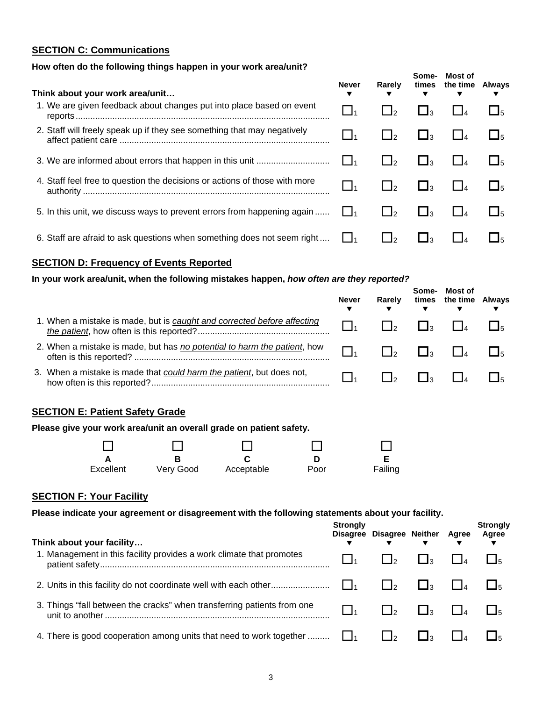## **SECTION C: Communications**

## **How often do the following things happen in your work area/unit?**

| Think about your work area/unit                                            | Never           | Rarely                        | Some-        | Most of<br>times the time Always |  |
|----------------------------------------------------------------------------|-----------------|-------------------------------|--------------|----------------------------------|--|
| 1. We are given feedback about changes put into place based on event       | $\Box_1$        |                               | $\mathsf{R}$ |                                  |  |
| 2. Staff will freely speak up if they see something that may negatively    |                 |                               | $\Box$ 3     |                                  |  |
|                                                                            |                 | $\Box$ 2                      | ∟з           |                                  |  |
| 4. Staff feel free to question the decisions or actions of those with more | $\overline{11}$ |                               | $\Box$ 3     |                                  |  |
| 5. In this unit, we discuss ways to prevent errors from happening again    | $\mathsf{L}$    | $\mathbf{1} \perp \mathbf{2}$ | $\Box$ 3     |                                  |  |
| 6. Staff are afraid to ask questions when something does not seem right    |                 |                               |              |                                  |  |

#### **SECTION D: Frequency of Events Reported**

#### **In your work area/unit, when the following mistakes happen,** *how often are they reported?*

|                                                                          | <b>Never</b> | Rarely       | Some-        | Most of<br>times the time Always |  |
|--------------------------------------------------------------------------|--------------|--------------|--------------|----------------------------------|--|
| 1. When a mistake is made, but is caught and corrected before affecting  |              |              | l la         |                                  |  |
| 2. When a mistake is made, but has no potential to harm the patient, how |              | $\mathsf{L}$ | $\mathbf{L}$ |                                  |  |
| 3. When a mistake is made that could harm the patient, but does not,     |              | l Io         | l Io         |                                  |  |

**Most of** 

#### **SECTION E: Patient Safety Grade**

| Please give your work area/unit an overall grade on patient safety. |           |            |      |         |  |  |  |
|---------------------------------------------------------------------|-----------|------------|------|---------|--|--|--|
|                                                                     |           |            |      |         |  |  |  |
|                                                                     |           |            | D    |         |  |  |  |
| Excellent                                                           | Verv Good | Acceptable | Poor | Failing |  |  |  |

#### **SECTION F: Your Facility**

**Please indicate your agreement or disagreement with the following statements about your facility.** 

| Think about your facility                                               | Strongly | Disagree Disagree Neither Agree | $\overline{\mathbf{v}}$ | <b>Strongly</b><br>Agree |
|-------------------------------------------------------------------------|----------|---------------------------------|-------------------------|--------------------------|
| 1. Management in this facility provides a work climate that promotes    |          |                                 | $\mathsf{L}$            |                          |
|                                                                         |          | $\mathsf{L}$                    | $\mathsf{L}$            |                          |
| 3. Things "fall between the cracks" when transferring patients from one |          | $\frac{1}{2}$                   | $\mathsf{L}$            |                          |
| 4. There is good cooperation among units that need to work together     |          | $\overline{1}$                  | $\mathsf{L}$            |                          |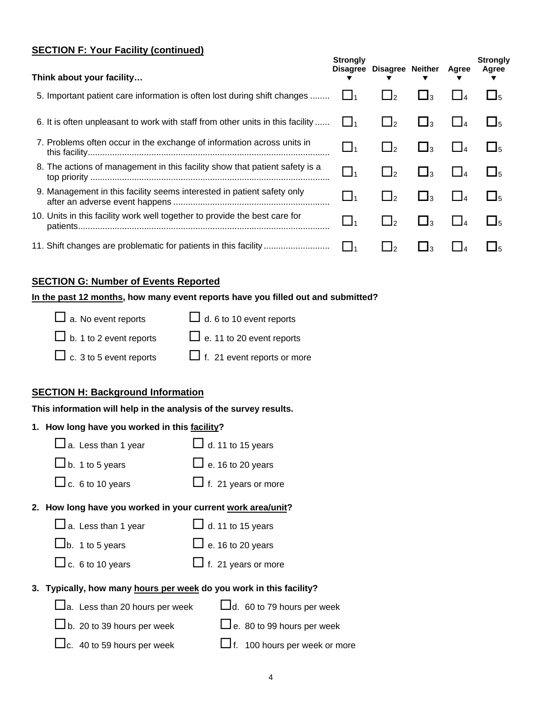# **SECTION F: Your Facility (continued)**

| <u> 100 meters – 100 meters – 100 meters – 1</u><br>Think about your facility  | <b>Strongly</b> | Disagree Disagree Neither              |                | Agree | <b>Strongly</b><br>Agree |
|--------------------------------------------------------------------------------|-----------------|----------------------------------------|----------------|-------|--------------------------|
| 5. Important patient care information is often lost during shift changes       | $\Box$ 1        | $\sqcup_2$                             | ∟з             |       | $\Box$ 5                 |
| 6. It is often unpleasant to work with staff from other units in this facility | $\Box_1$        | $\mathbf{1}_{2}$                       | ∟1з            |       | $\Box$ <sub>5</sub>      |
| 7. Problems often occur in the exchange of information across units in         | $\_$ 1          | $\Box_2$                               | $\Box$ 3       |       | $\Box$ <sub>5</sub>      |
| 8. The actions of management in this facility show that patient safety is a    | $\_I_1$         | $\mathsf{I}_2$                         | 凵з             |       | $\Box$ <sub>5</sub>      |
| 9. Management in this facility seems interested in patient safety only         | $\_$ 1          | $\mathbf{1}$ $\mathbf{1}$ $\mathbf{2}$ | ∟ا             |       | $\Box$ <sub>5</sub>      |
| 10. Units in this facility work well together to provide the best care for     | ┙1              | $\mathbf{L}$                           | $\mathbf{I}_3$ |       | $\Box$ <sub>5</sub>      |
| 11. Shift changes are problematic for patients in this facility                | l la            | ٠I                                     | ାବ             |       | Iҕ                       |

#### **SECTION G: Number of Events Reported**

# **In the past 12 months, how many event reports have you filled out and submitted?**

| $\Box$ a. No event reports     | $\Box$ d. 6 to 10 event reports    |
|--------------------------------|------------------------------------|
| $\Box$ b. 1 to 2 event reports | $\Box$ e. 11 to 20 event reports   |
| $\Box$ c. 3 to 5 event reports | $\Box$ f. 21 event reports or more |

# **SECTION H: Background Information**

#### **This information will help in the analysis of the survey results.**

# **1. How long have you worked in this facility?**

| $\square$ a. Less than 1 year         | $\Box$ d. 11 to 15 years                                            |
|---------------------------------------|---------------------------------------------------------------------|
| $\Box$ b. 1 to 5 years                | $\Box$ e. 16 to 20 years                                            |
| $\Box$ c. 6 to 10 years               | $\Box$ f. 21 years or more                                          |
|                                       | 2. How long have you worked in your current work area/unit?         |
| $\Box$ a. Less than 1 year            | $\Box$ d. 11 to 15 years                                            |
| $Lb$ . 1 to 5 years                   | $\Box$ e. 16 to 20 years                                            |
| $\Box$ c. 6 to 10 years               | $\Box$ f. 21 years or more                                          |
|                                       | 3. Typically, how many hours per week do you work in this facility? |
| $\Box$ a. Less than 20 hours per week | $\Box$ d. 60 to 79 hours per week                                   |
| $\Box$ b. 20 to 39 hours per week     | $\Box$ e. 80 to 99 hours per week                                   |
| $\Box$ c. 40 to 59 hours per week     | $\Box$ f. 100 hours per week or more                                |
|                                       |                                                                     |